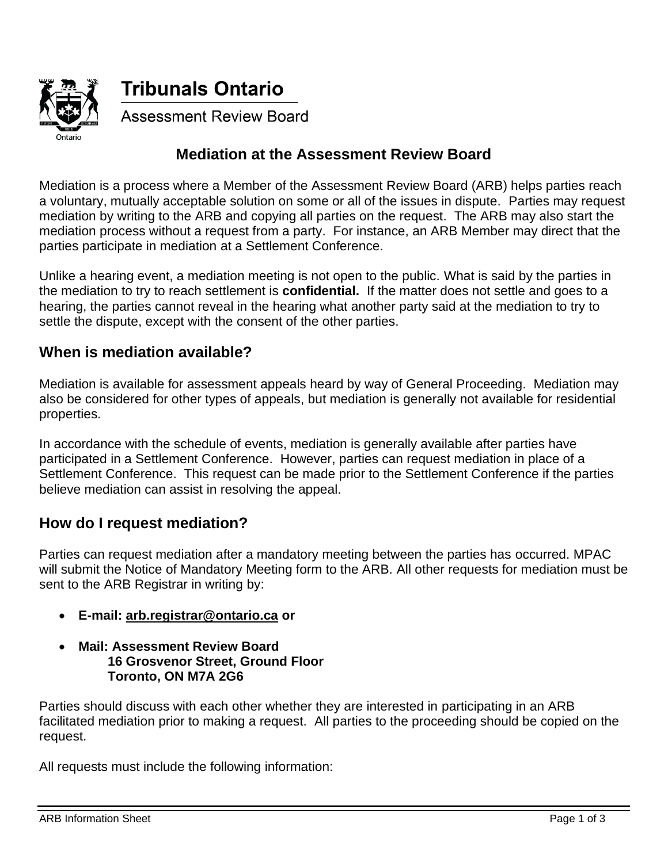

**Tribunals Ontario** 

**Assessment Review Board** 

## **Mediation at the Assessment Review Board**

Mediation is a process where a Member of the Assessment Review Board (ARB) helps parties reach a voluntary, mutually acceptable solution on some or all of the issues in dispute. Parties may request mediation by writing to the ARB and copying all parties on the request. The ARB may also start the mediation process without a request from a party. For instance, an ARB Member may direct that the parties participate in mediation at a Settlement Conference.

Unlike a hearing event, a mediation meeting is not open to the public. What is said by the parties in the mediation to try to reach settlement is **confidential.** If the matter does not settle and goes to a hearing, the parties cannot reveal in the hearing what another party said at the mediation to try to settle the dispute, except with the consent of the other parties.

### **When is mediation available?**

Mediation is available for assessment appeals heard by way of General Proceeding. Mediation may also be considered for other types of appeals, but mediation is generally not available for residential properties.

In accordance with the schedule of events, mediation is generally available after parties have participated in a Settlement Conference. However, parties can request mediation in place of a Settlement Conference. This request can be made prior to the Settlement Conference if the parties believe mediation can assist in resolving the appeal.

#### **How do I request mediation?**

Parties can request mediation after a mandatory meeting between the parties has occurred. MPAC will submit the Notice of Mandatory Meeting form to the ARB. All other requests for mediation must be sent to the ARB Registrar in writing by:

- **E-mail: [arb.registrar@ontario.ca](mailto:arb.registrar@ontario.ca) or**
- **Mail: Assessment Review Board 16 Grosvenor Street, Ground Floor Toronto, ON M7A 2G6**

Parties should discuss with each other whether they are interested in participating in an ARB facilitated mediation prior to making a request. All parties to the proceeding should be copied on the request.

All requests must include the following information: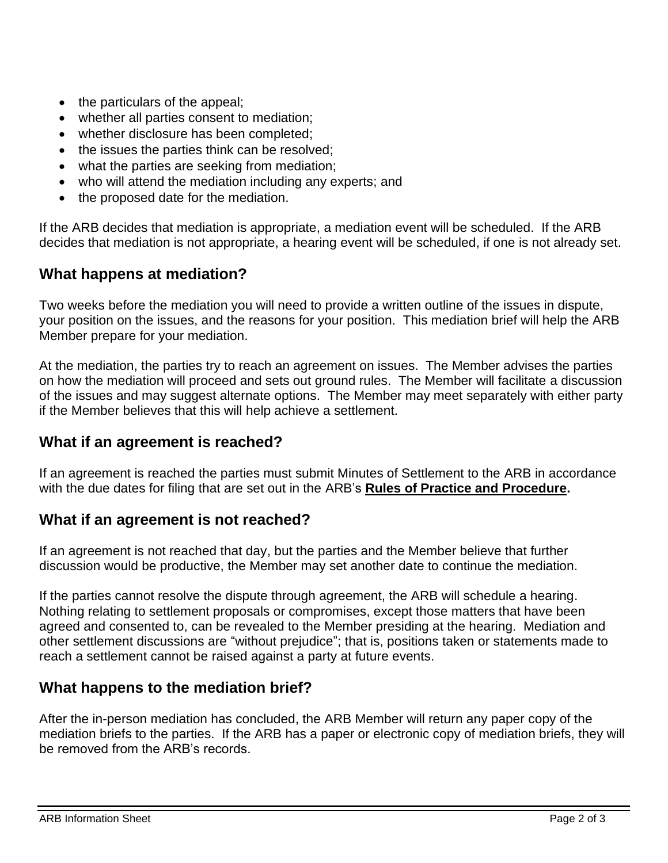- the particulars of the appeal;
- whether all parties consent to mediation;
- whether disclosure has been completed;
- the issues the parties think can be resolved;
- what the parties are seeking from mediation;
- who will attend the mediation including any experts; and
- the proposed date for the mediation.

If the ARB decides that mediation is appropriate, a mediation event will be scheduled. If the ARB decides that mediation is not appropriate, a hearing event will be scheduled, if one is not already set.

## **What happens at mediation?**

Two weeks before the mediation you will need to provide a written outline of the issues in dispute, your position on the issues, and the reasons for your position. This mediation brief will help the ARB Member prepare for your mediation.

At the mediation, the parties try to reach an agreement on issues. The Member advises the parties on how the mediation will proceed and sets out ground rules. The Member will facilitate a discussion of the issues and may suggest alternate options. The Member may meet separately with either party if the Member believes that this will help achieve a settlement.

### **What if an agreement is reached?**

If an agreement is reached the parties must submit Minutes of Settlement to the ARB in accordance with the due dates for filing that are set out in the ARB's **Rules [of Practice and Procedure.](http://tribunalsontario.ca/arb/legislation-and-rules/)** 

### **What if an agreement is not reached?**

If an agreement is not reached that day, but the parties and the Member believe that further discussion would be productive, the Member may set another date to continue the mediation.

If the parties cannot resolve the dispute through agreement, the ARB will schedule a hearing. Nothing relating to settlement proposals or compromises, except those matters that have been agreed and consented to, can be revealed to the Member presiding at the hearing. Mediation and other settlement discussions are "without prejudice"; that is, positions taken or statements made to reach a settlement cannot be raised against a party at future events.

# **What happens to the mediation brief?**

After the in-person mediation has concluded, the ARB Member will return any paper copy of the mediation briefs to the parties. If the ARB has a paper or electronic copy of mediation briefs, they will be removed from the ARB's records.